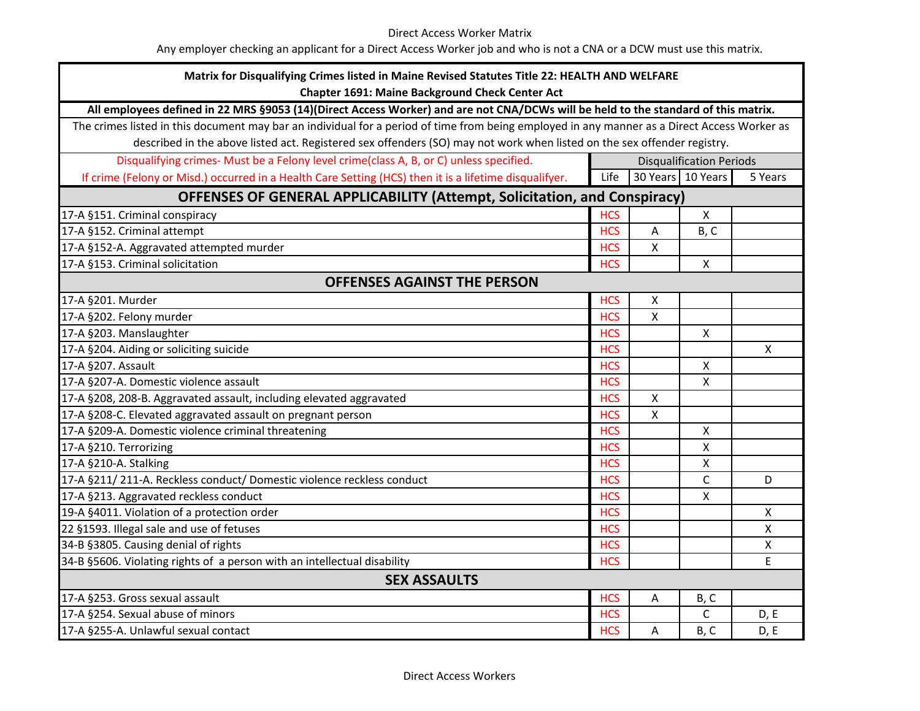| Matrix for Disqualifying Crimes listed in Maine Revised Statutes Title 22: HEALTH AND WELFARE<br><b>Chapter 1691: Maine Background Check Center Act</b> |                                 |              |                    |              |
|---------------------------------------------------------------------------------------------------------------------------------------------------------|---------------------------------|--------------|--------------------|--------------|
| All employees defined in 22 MRS §9053 (14)(Direct Access Worker) and are not CNA/DCWs will be held to the standard of this matrix.                      |                                 |              |                    |              |
| The crimes listed in this document may bar an individual for a period of time from being employed in any manner as a Direct Access Worker as            |                                 |              |                    |              |
| described in the above listed act. Registered sex offenders (SO) may not work when listed on the sex offender registry.                                 |                                 |              |                    |              |
| Disqualifying crimes- Must be a Felony level crime(class A, B, or C) unless specified.                                                                  | <b>Disqualification Periods</b> |              |                    |              |
| If crime (Felony or Misd.) occurred in a Health Care Setting (HCS) then it is a lifetime disqualifyer.                                                  | Life                            |              | 30 Years 10 Years  | 5 Years      |
| <b>OFFENSES OF GENERAL APPLICABILITY (Attempt, Solicitation, and Conspiracy)</b>                                                                        |                                 |              |                    |              |
| 17-A §151. Criminal conspiracy                                                                                                                          | <b>HCS</b>                      |              | $\mathsf{X}$       |              |
| 17-A §152. Criminal attempt                                                                                                                             | <b>HCS</b>                      | Α            | B, C               |              |
| 17-A §152-A. Aggravated attempted murder                                                                                                                | <b>HCS</b>                      | Χ            |                    |              |
| 17-A §153. Criminal solicitation                                                                                                                        | <b>HCS</b>                      |              | $\mathsf{X}$       |              |
| <b>OFFENSES AGAINST THE PERSON</b>                                                                                                                      |                                 |              |                    |              |
| 17-A §201. Murder                                                                                                                                       | <b>HCS</b>                      | X            |                    |              |
| 17-A §202. Felony murder                                                                                                                                | <b>HCS</b>                      | $\mathsf{X}$ |                    |              |
| 17-A §203. Manslaughter                                                                                                                                 | <b>HCS</b>                      |              | X                  |              |
| 17-A §204. Aiding or soliciting suicide                                                                                                                 | <b>HCS</b>                      |              |                    | X            |
| 17-A §207. Assault                                                                                                                                      | <b>HCS</b>                      |              | $\mathsf{X}$       |              |
| 17-A §207-A. Domestic violence assault                                                                                                                  | <b>HCS</b>                      |              | $\mathsf{X}$       |              |
| 17-A §208, 208-B. Aggravated assault, including elevated aggravated                                                                                     | <b>HCS</b>                      | $\mathsf{X}$ |                    |              |
| 17-A §208-C. Elevated aggravated assault on pregnant person                                                                                             | <b>HCS</b>                      | X            |                    |              |
| 17-A §209-A. Domestic violence criminal threatening                                                                                                     | <b>HCS</b>                      |              | $\mathsf{X}$       |              |
| 17-A §210. Terrorizing                                                                                                                                  | <b>HCS</b>                      |              | $\pmb{\mathsf{X}}$ |              |
| 17-A §210-A. Stalking                                                                                                                                   | <b>HCS</b>                      |              | $\mathsf{X}$       |              |
| 17-A §211/211-A. Reckless conduct/ Domestic violence reckless conduct                                                                                   | <b>HCS</b>                      |              | $\mathsf{C}$       | D.           |
| 17-A §213. Aggravated reckless conduct                                                                                                                  | <b>HCS</b>                      |              | X                  |              |
| 19-A §4011. Violation of a protection order                                                                                                             | <b>HCS</b>                      |              |                    | $\mathsf{x}$ |
| 22 §1593. Illegal sale and use of fetuses                                                                                                               | <b>HCS</b>                      |              |                    | X            |
| 34-B §3805. Causing denial of rights                                                                                                                    | <b>HCS</b>                      |              |                    | X            |
| 34-B §5606. Violating rights of a person with an intellectual disability                                                                                | <b>HCS</b>                      |              |                    | E            |
| <b>SEX ASSAULTS</b>                                                                                                                                     |                                 |              |                    |              |
| 17-A §253. Gross sexual assault                                                                                                                         | <b>HCS</b>                      | A            | B, C               |              |
| 17-A §254. Sexual abuse of minors                                                                                                                       | <b>HCS</b>                      |              | $\mathsf{C}$       | D, E         |
| 17-A §255-A. Unlawful sexual contact                                                                                                                    | <b>HCS</b>                      | Α            | B, C               | D, E         |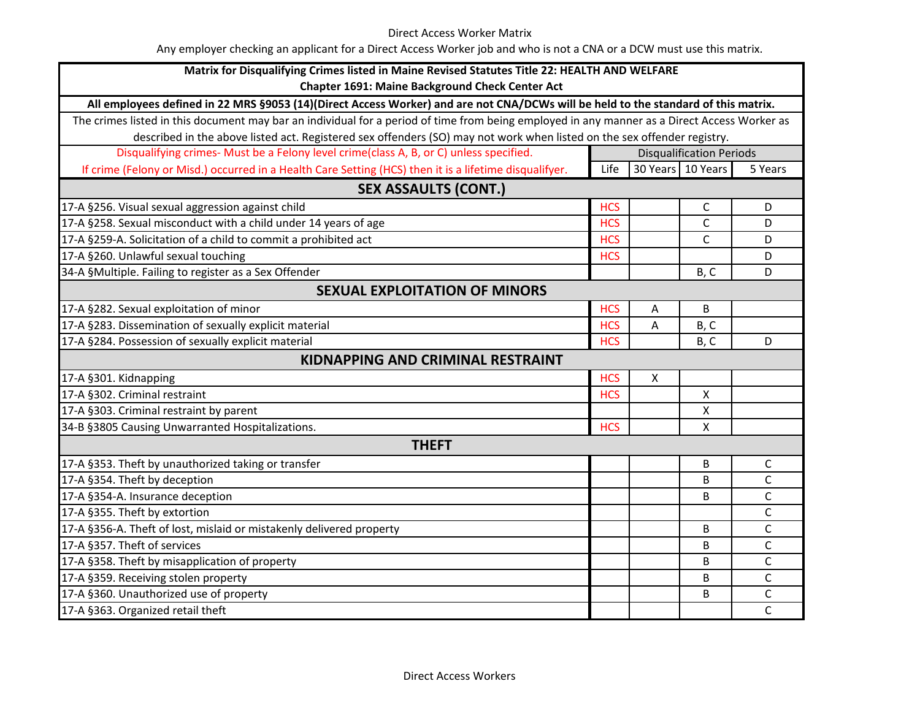| Matrix for Disqualifying Crimes listed in Maine Revised Statutes Title 22: HEALTH AND WELFARE                                                |                                 |              |                   |              |
|----------------------------------------------------------------------------------------------------------------------------------------------|---------------------------------|--------------|-------------------|--------------|
| <b>Chapter 1691: Maine Background Check Center Act</b>                                                                                       |                                 |              |                   |              |
| All employees defined in 22 MRS §9053 (14)(Direct Access Worker) and are not CNA/DCWs will be held to the standard of this matrix.           |                                 |              |                   |              |
| The crimes listed in this document may bar an individual for a period of time from being employed in any manner as a Direct Access Worker as |                                 |              |                   |              |
| described in the above listed act. Registered sex offenders (SO) may not work when listed on the sex offender registry.                      |                                 |              |                   |              |
| Disqualifying crimes- Must be a Felony level crime(class A, B, or C) unless specified.                                                       | <b>Disqualification Periods</b> |              |                   |              |
| If crime (Felony or Misd.) occurred in a Health Care Setting (HCS) then it is a lifetime disqualifyer.                                       | Life                            |              | 30 Years 10 Years | 5 Years      |
| <b>SEX ASSAULTS (CONT.)</b>                                                                                                                  |                                 |              |                   |              |
| 17-A §256. Visual sexual aggression against child                                                                                            | <b>HCS</b>                      |              | C                 | D            |
| 17-A §258. Sexual misconduct with a child under 14 years of age                                                                              | <b>HCS</b>                      |              | $\mathsf{C}$      | D            |
| 17-A §259-A. Solicitation of a child to commit a prohibited act                                                                              | <b>HCS</b>                      |              | $\mathsf{C}$      | D            |
| 17-A §260. Unlawful sexual touching                                                                                                          | <b>HCS</b>                      |              |                   | D            |
| 34-A §Multiple. Failing to register as a Sex Offender                                                                                        |                                 |              | B, C              | D            |
| <b>SEXUAL EXPLOITATION OF MINORS</b>                                                                                                         |                                 |              |                   |              |
| 17-A §282. Sexual exploitation of minor                                                                                                      | <b>HCS</b>                      | Α            | B                 |              |
| 17-A §283. Dissemination of sexually explicit material                                                                                       | <b>HCS</b>                      | Α            | B, C              |              |
| 17-A §284. Possession of sexually explicit material                                                                                          | <b>HCS</b>                      |              | B, C              | D            |
| <b>KIDNAPPING AND CRIMINAL RESTRAINT</b>                                                                                                     |                                 |              |                   |              |
| 17-A §301. Kidnapping                                                                                                                        | <b>HCS</b>                      | $\mathsf{X}$ |                   |              |
| 17-A §302. Criminal restraint                                                                                                                | <b>HCS</b>                      |              | $\mathsf{x}$      |              |
| 17-A §303. Criminal restraint by parent                                                                                                      |                                 |              | $\mathsf{x}$      |              |
| 34-B §3805 Causing Unwarranted Hospitalizations.                                                                                             | <b>HCS</b>                      |              | X                 |              |
| <b>THEFT</b>                                                                                                                                 |                                 |              |                   |              |
| 17-A §353. Theft by unauthorized taking or transfer                                                                                          |                                 |              | B                 | C            |
| 17-A §354. Theft by deception                                                                                                                |                                 |              | B                 | $\mathsf C$  |
| 17-A §354-A. Insurance deception                                                                                                             |                                 |              | B                 | $\mathsf C$  |
| 17-A §355. Theft by extortion                                                                                                                |                                 |              |                   | $\mathsf{C}$ |
| 17-A §356-A. Theft of lost, mislaid or mistakenly delivered property                                                                         |                                 |              | B                 | $\mathsf{C}$ |
| 17-A §357. Theft of services                                                                                                                 |                                 |              | B                 | $\mathsf{C}$ |
| 17-A §358. Theft by misapplication of property                                                                                               |                                 |              | B                 | $\mathsf{C}$ |
| 17-A §359. Receiving stolen property                                                                                                         |                                 |              | B                 | $\mathsf C$  |
| 17-A §360. Unauthorized use of property                                                                                                      |                                 |              | B                 | $\mathsf C$  |
| 17-A §363. Organized retail theft                                                                                                            |                                 |              |                   | $\mathsf C$  |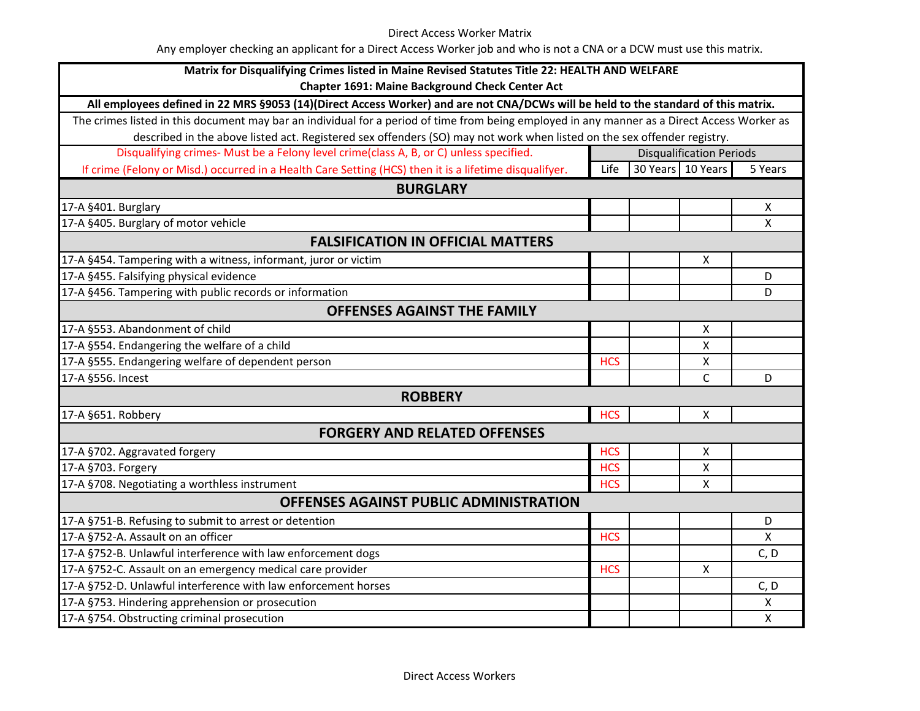| Matrix for Disqualifying Crimes listed in Maine Revised Statutes Title 22: HEALTH AND WELFARE                                                |                                      |  |              |              |  |
|----------------------------------------------------------------------------------------------------------------------------------------------|--------------------------------------|--|--------------|--------------|--|
| <b>Chapter 1691: Maine Background Check Center Act</b>                                                                                       |                                      |  |              |              |  |
| All employees defined in 22 MRS §9053 (14)(Direct Access Worker) and are not CNA/DCWs will be held to the standard of this matrix.           |                                      |  |              |              |  |
| The crimes listed in this document may bar an individual for a period of time from being employed in any manner as a Direct Access Worker as |                                      |  |              |              |  |
| described in the above listed act. Registered sex offenders (SO) may not work when listed on the sex offender registry.                      |                                      |  |              |              |  |
| Disqualifying crimes- Must be a Felony level crime(class A, B, or C) unless specified.                                                       | <b>Disqualification Periods</b>      |  |              |              |  |
| If crime (Felony or Misd.) occurred in a Health Care Setting (HCS) then it is a lifetime disqualifyer.                                       | 30 Years 10 Years<br>Life<br>5 Years |  |              |              |  |
| <b>BURGLARY</b>                                                                                                                              |                                      |  |              |              |  |
| 17-A §401. Burglary                                                                                                                          |                                      |  |              | X            |  |
| 17-A §405. Burglary of motor vehicle                                                                                                         |                                      |  |              | $\mathsf{x}$ |  |
| <b>FALSIFICATION IN OFFICIAL MATTERS</b>                                                                                                     |                                      |  |              |              |  |
| 17-A §454. Tampering with a witness, informant, juror or victim                                                                              |                                      |  | X            |              |  |
| 17-A §455. Falsifying physical evidence                                                                                                      |                                      |  |              | D            |  |
| 17-A §456. Tampering with public records or information                                                                                      |                                      |  |              | D            |  |
| <b>OFFENSES AGAINST THE FAMILY</b>                                                                                                           |                                      |  |              |              |  |
| 17-A §553. Abandonment of child                                                                                                              |                                      |  | $\mathsf{x}$ |              |  |
| 17-A §554. Endangering the welfare of a child                                                                                                |                                      |  | $\mathsf{x}$ |              |  |
| 17-A §555. Endangering welfare of dependent person                                                                                           | <b>HCS</b>                           |  | X            |              |  |
| 17-A §556. Incest                                                                                                                            |                                      |  | $\mathsf{C}$ | D            |  |
| <b>ROBBERY</b>                                                                                                                               |                                      |  |              |              |  |
| 17-A §651. Robbery                                                                                                                           | <b>HCS</b>                           |  | $\mathsf{X}$ |              |  |
| <b>FORGERY AND RELATED OFFENSES</b>                                                                                                          |                                      |  |              |              |  |
| 17-A §702. Aggravated forgery                                                                                                                | <b>HCS</b>                           |  | X            |              |  |
| 17-A §703. Forgery                                                                                                                           | <b>HCS</b>                           |  | $\mathsf{x}$ |              |  |
| 17-A §708. Negotiating a worthless instrument                                                                                                | <b>HCS</b>                           |  | $\mathsf{X}$ |              |  |
| OFFENSES AGAINST PUBLIC ADMINISTRATION                                                                                                       |                                      |  |              |              |  |
| 17-A §751-B. Refusing to submit to arrest or detention                                                                                       |                                      |  |              | D            |  |
| 17-A §752-A. Assault on an officer                                                                                                           | <b>HCS</b>                           |  |              | X            |  |
| 17-A §752-B. Unlawful interference with law enforcement dogs                                                                                 |                                      |  |              | C, D         |  |
| 17-A §752-C. Assault on an emergency medical care provider                                                                                   | <b>HCS</b>                           |  | X            |              |  |
| 17-A §752-D. Unlawful interference with law enforcement horses                                                                               |                                      |  |              | C, D         |  |
| 17-A §753. Hindering apprehension or prosecution                                                                                             |                                      |  |              | X            |  |
| 17-A §754. Obstructing criminal prosecution                                                                                                  |                                      |  |              | $\mathsf{x}$ |  |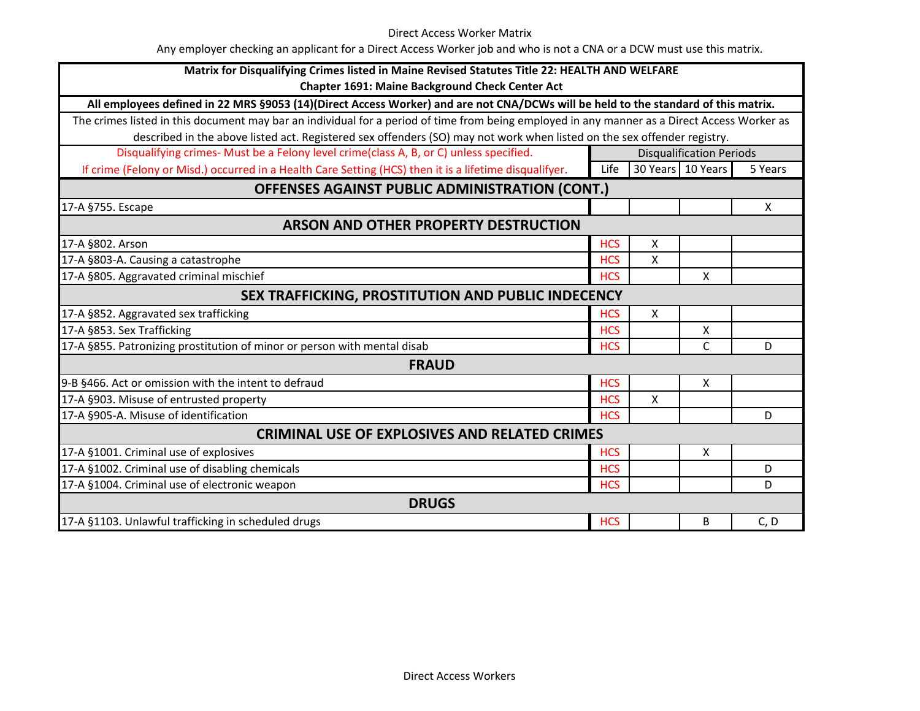| Matrix for Disqualifying Crimes listed in Maine Revised Statutes Title 22: HEALTH AND WELFARE                                                |                                 |   |                   |         |
|----------------------------------------------------------------------------------------------------------------------------------------------|---------------------------------|---|-------------------|---------|
| <b>Chapter 1691: Maine Background Check Center Act</b>                                                                                       |                                 |   |                   |         |
| All employees defined in 22 MRS §9053 (14)(Direct Access Worker) and are not CNA/DCWs will be held to the standard of this matrix.           |                                 |   |                   |         |
| The crimes listed in this document may bar an individual for a period of time from being employed in any manner as a Direct Access Worker as |                                 |   |                   |         |
| described in the above listed act. Registered sex offenders (SO) may not work when listed on the sex offender registry.                      |                                 |   |                   |         |
| Disqualifying crimes- Must be a Felony level crime(class A, B, or C) unless specified.                                                       | <b>Disqualification Periods</b> |   |                   |         |
| If crime (Felony or Misd.) occurred in a Health Care Setting (HCS) then it is a lifetime disqualifyer.                                       | Life                            |   | 30 Years 10 Years | 5 Years |
| <b>OFFENSES AGAINST PUBLIC ADMINISTRATION (CONT.)</b>                                                                                        |                                 |   |                   |         |
| 17-A §755. Escape                                                                                                                            |                                 |   |                   | X       |
| <b>ARSON AND OTHER PROPERTY DESTRUCTION</b>                                                                                                  |                                 |   |                   |         |
| 17-A §802. Arson                                                                                                                             | <b>HCS</b>                      | X |                   |         |
| 17-A §803-A. Causing a catastrophe                                                                                                           | <b>HCS</b>                      | X |                   |         |
| 17-A §805. Aggravated criminal mischief                                                                                                      | <b>HCS</b>                      |   | $\mathsf{X}$      |         |
| SEX TRAFFICKING, PROSTITUTION AND PUBLIC INDECENCY                                                                                           |                                 |   |                   |         |
| 17-A §852. Aggravated sex trafficking                                                                                                        | <b>HCS</b>                      | X |                   |         |
| 17-A §853. Sex Trafficking                                                                                                                   | <b>HCS</b>                      |   | $\mathsf{X}$      |         |
| 17-A §855. Patronizing prostitution of minor or person with mental disab                                                                     | <b>HCS</b>                      |   | $\mathsf{C}$      | D       |
| <b>FRAUD</b>                                                                                                                                 |                                 |   |                   |         |
| 9-B §466. Act or omission with the intent to defraud                                                                                         | <b>HCS</b>                      |   | $\mathsf{X}$      |         |
| 17-A §903. Misuse of entrusted property                                                                                                      | <b>HCS</b>                      | X |                   |         |
| 17-A §905-A. Misuse of identification                                                                                                        | <b>HCS</b>                      |   |                   | D       |
| <b>CRIMINAL USE OF EXPLOSIVES AND RELATED CRIMES</b>                                                                                         |                                 |   |                   |         |
| 17-A §1001. Criminal use of explosives                                                                                                       | <b>HCS</b>                      |   | X                 |         |
| 17-A §1002. Criminal use of disabling chemicals                                                                                              | <b>HCS</b>                      |   |                   | D       |
| 17-A §1004. Criminal use of electronic weapon                                                                                                | <b>HCS</b>                      |   |                   | D       |
| <b>DRUGS</b>                                                                                                                                 |                                 |   |                   |         |
| 17-A §1103. Unlawful trafficking in scheduled drugs                                                                                          | <b>HCS</b>                      |   | B                 | C, D    |